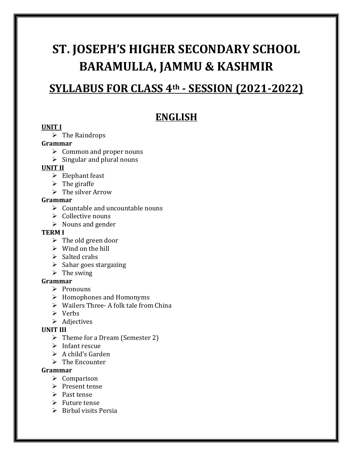# **ST. JOSEPH'S HIGHER SECONDARY SCHOOL BARAMULLA, JAMMU & KASHMIR**

# **SYLLABUS FOR CLASS 4th - SESSION (2021-2022)**

# **ENGLISH**

#### **UNIT I**

 $\triangleright$  The Raindrops

#### **Grammar**

- $\triangleright$  Common and proper nouns
- $\triangleright$  Singular and plural nouns

#### **UNIT II**

- $\triangleright$  Elephant feast
- $\triangleright$  The giraffe
- $\triangleright$  The silver Arrow

#### **Grammar**

- $\triangleright$  Countable and uncountable nouns
- $\triangleright$  Collective nouns
- $\triangleright$  Nouns and gender

#### **TERM I**

- $\triangleright$  The old green door
- $\triangleright$  Wind on the hill
- $\triangleright$  Salted crabs
- $\triangleright$  Sahar goes stargazing
- $\triangleright$  The swing

#### **Grammar**

- $\triangleright$  Pronouns
- $\triangleright$  Homophones and Homonyms
- $\triangleright$  Wailers Three- A folk tale from China
- Verbs
- $\triangleright$  Adjectives

#### **UNIT III**

- $\triangleright$  Theme for a Dream (Semester 2)
- $\triangleright$  Infant rescue
- $\triangleright$  A child's Garden
- $\triangleright$  The Encounter

#### **Grammar**

- $\triangleright$  Comparison
- $\triangleright$  Present tense
- $\triangleright$  Past tense
- $\triangleright$  Future tense
- $\triangleright$  Birbal visits Persia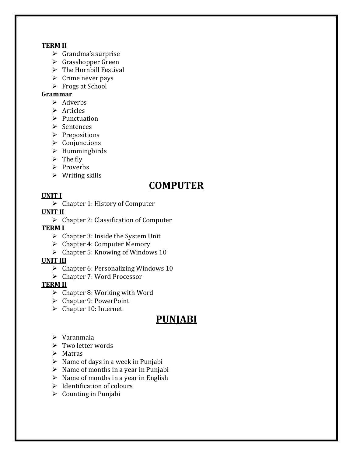#### **TERM II**

- $\triangleright$  Grandma's surprise
- $\triangleright$  Grasshopper Green
- $\triangleright$  The Hornbill Festival
- $\triangleright$  Crime never pays
- $\triangleright$  Frogs at School

#### **Grammar**

- $\triangleright$  Adverbs
- $\triangleright$  Articles
- $\triangleright$  Punctuation
- $\triangleright$  Sentences
- $\triangleright$  Prepositions
- $\triangleright$  Conjunctions
- $\triangleright$  Hummingbirds
- $\triangleright$  The fly
- $\triangleright$  Proverbs
- $\triangleright$  Writing skills

# **COMPUTER**

#### **UNIT I**

 $\triangleright$  Chapter 1: History of Computer

#### **UNIT II**

 $\triangleright$  Chapter 2: Classification of Computer

#### **TERM I**

- $\triangleright$  Chapter 3: Inside the System Unit
- $\triangleright$  Chapter 4: Computer Memory
- $\triangleright$  Chapter 5: Knowing of Windows 10

#### **UNIT III**

- $\triangleright$  Chapter 6: Personalizing Windows 10
- $\triangleright$  Chapter 7: Word Processor

#### **TERM II**

- $\triangleright$  Chapter 8: Working with Word
- Chapter 9: PowerPoint
- $\triangleright$  Chapter 10: Internet

# **PUNJABI**

- $\triangleright$  Varanmala
- $\triangleright$  Two letter words
- $\triangleright$  Matras
- $\triangleright$  Name of days in a week in Punjabi
- $\triangleright$  Name of months in a year in Punjabi
- $\triangleright$  Name of months in a year in English
- $\triangleright$  Identification of colours
- $\triangleright$  Counting in Punjabi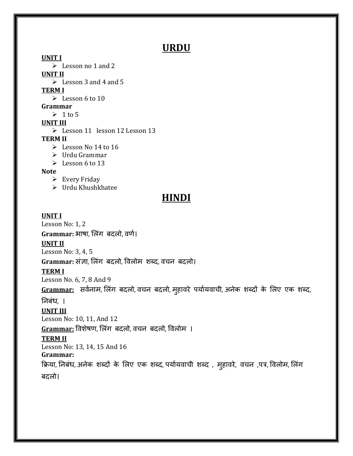# **URDU**

**UNIT I**  $\triangleright$  Lesson no 1 and 2 **UNIT II**  $\blacktriangleright$  Lesson 3 and 4 and 5 **TERM I** Eesson 6 to 10 **Grammar**  $\geq 1$  to 5 **UNIT III** Eesson 11 lesson 12 Lesson 13 **TERM II**  $\blacktriangleright$  Lesson No 14 to 16 Urdu Grammar  $\geqslant$  Lesson 6 to 13

#### **Note**

- $\triangleright$  Every Friday
- Urdu Khushkhatee

# **HINDI**

#### **UNIT I**

Lesson No: 1, 2

Grammar: भाषा, लिंग बदलो, वर्ण।

# **UNIT II**

Lesson No: 3, 4, 5

Grammar: संज्ञा, लिंग बदलो, विलोम शब्द, वचन बदलो।

#### **TERM I**

Lesson No. 6, 7, 8 And 9

Grammar: सर्वनाम, लिंग बदलो, वचन बदलो, मुहावरे पर्यायवाची, अनेक शब्दों के लिए एक शब्द,

# ननबिंध, ।

#### **UNIT III**

Lesson No: 10, 11, And 12

Grammar: विशेषण, लिंग बदलो, वचन बदलो, विलोम ।

### **TERM II**

Lesson No: 13, 14, 15 And 16

#### **Grammar:**

क्रिया, निबंध, अनेक शब्दों के लिए एक शब्द, पर्यायवाची शब्द , मुहावरे, वचन ,पत्र, विलोम, लिंग बदलो।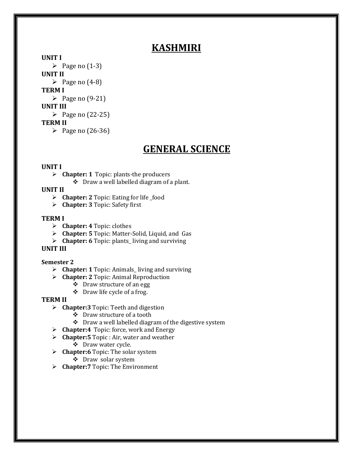# **KASHMIRI**

**UNIT I** 

 $\triangleright$  Page no (1-3) **UNIT II**  $\triangleright$  Page no (4-8) **TERM I**  $\triangleright$  Page no (9-21) **UNIT III** Page no  $(22-25)$ **TERM II**  Page no  $(26-36)$ 

# **GENERAL SCIENCE**

#### **UNIT I**

**Chapter: 1** Topic: plants-the producers

Draw a well labelled diagram of a plant.

#### **UNIT II**

- > **Chapter: 2** Topic: Eating for life \_food
- **Chapter: 3** Topic: Safety first

#### **TERM I**

- **Chapter: 4** Topic: clothes
- **Chapter: 5** Topic: Matter-Solid, Liquid, and Gas
- **Chapter: 6** Topic: plants\_ living and surviving

#### **UNIT III**

#### **Semester 2**

- **Chapter: 1** Topic: Animals\_ living and surviving
- **Chapter: 2** Topic: Animal Reproduction
	- Draw structure of an egg
	- Draw life cycle of a frog.

#### **TERM II**

- **Chapter:3** Topic: Teeth and digestion
	- Draw structure of a tooth
	- $\div$  Draw a well labelled diagram of the digestive system
- **Chapter:4** Topic: force, work and Energy
- **Chapter:5** Topic : Air, water and weather
	- Draw water cycle.
- **Example 1.5** Chapter: 6 Topic: The solar system
	- Draw solar system
- **Chapter:7** Topic: The Environment